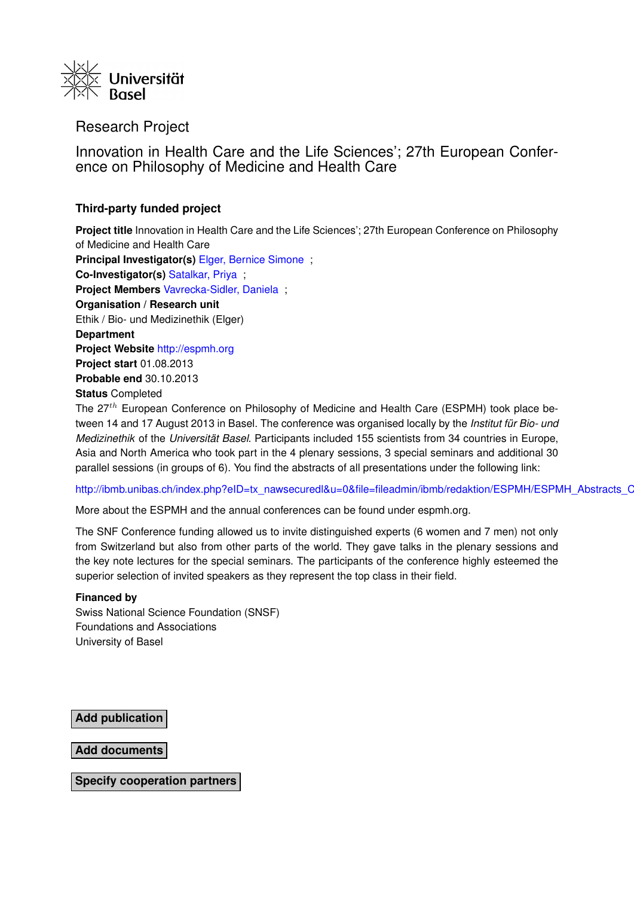

Research Project

Innovation in Health Care and the Life Sciences'; 27th European Conference on Philosophy of Medicine and Health Care

## **Third-party funded project**

**Project title** Innovation in Health Care and the Life Sciences'; 27th European Conference on Philosophy of Medicine and Health Care **Principal Investigator(s)** [Elger, Bernice Simone](https://forschdb2.unibas.ch/inf2/profiles_view/profile_view.php?pid=4dbe2121d1ce2&int=2) ; **Co-Investigator(s)** [Satalkar, Priya](https://forschdb2.unibas.ch/inf2/profiles_view/profile_view.php?pid=5042cfd1b5d4a&int=2) ; **Project Members** [Vavrecka-Sidler, Daniela](https://forschdb2.unibas.ch/inf2/profiles_view/profile_view.php?pid=4dbe212b11732&int=2) ; **Organisation / Research unit** Ethik / Bio- und Medizinethik (Elger) **Department Project Website** <http://espmh.org> **Project start** 01.08.2013 **Probable end** 30.10.2013 **Status** Completed The 27<sup>th</sup> European Conference on Philosophy of Medicine and Health Care (ESPMH) took place be-

tween 14 and 17 August 2013 in Basel. The conference was organised locally by the *Institut für Bio- und Medizinethik* of the *Universität Basel*. Participants included 155 scientists from 34 countries in Europe, Asia and North America who took part in the 4 plenary sessions, 3 special seminars and additional 30 parallel sessions (in groups of 6). You find the abstracts of all presentations under the following link:

http://ibmb.unibas.ch/index.php?eID=tx\_nawsecuredl&u=0&file=fileadmin/ibmb/redaktion/ESPMH/ESPMH\_Abstracts\_C

More about the ESPMH and the annual conferences can be found under espmh.org.

The SNF Conference funding allowed us to invite distinguished experts (6 women and 7 men) not only from Switzerland but also from other parts of the world. They gave talks in the plenary sessions and the key note lectures for the special seminars. The participants of the conference highly esteemed the superior selection of invited speakers as they represent the top class in their field.

## **Financed by**

Swiss National Science Foundation (SNSF) Foundations and Associations University of Basel

**Add publication**

**Add documents**

**Specify cooperation partners**